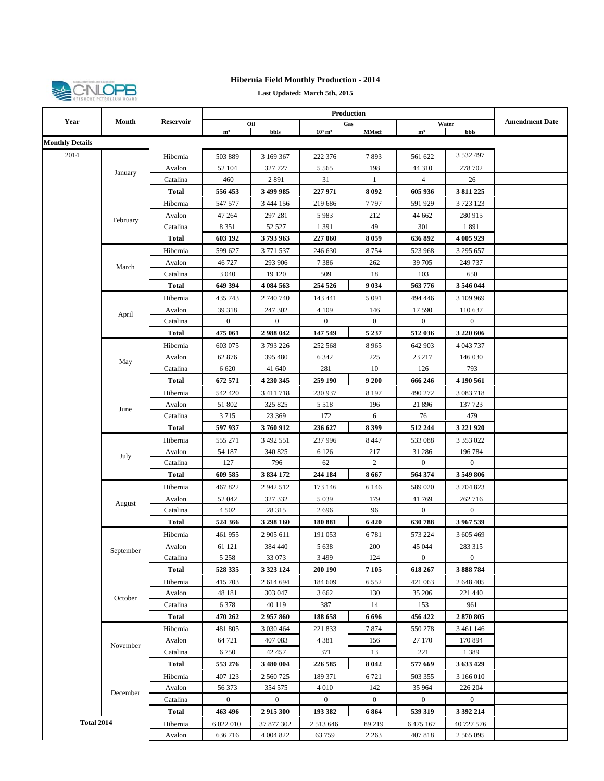

## **Hibernia Field Monthly Production - 2014**

**Last Updated: March 5th, 2015**

|                        |                                            | Month<br><b>Reservoir</b>     |                                                                       |                  |                |                                                                                                                                                                                                                                                                                                                                                                                                                                                                                                                                                                                                                                                                                                                                                                                                                                                                                                                                                                                                                                                                                                                                                                                                                                                                                                                                                                                                                                                                                                                                                                                                                                                                                                                                                                                                                                                                                                                                                                                                                                |           |                                                                                   |  |
|------------------------|--------------------------------------------|-------------------------------|-----------------------------------------------------------------------|------------------|----------------|--------------------------------------------------------------------------------------------------------------------------------------------------------------------------------------------------------------------------------------------------------------------------------------------------------------------------------------------------------------------------------------------------------------------------------------------------------------------------------------------------------------------------------------------------------------------------------------------------------------------------------------------------------------------------------------------------------------------------------------------------------------------------------------------------------------------------------------------------------------------------------------------------------------------------------------------------------------------------------------------------------------------------------------------------------------------------------------------------------------------------------------------------------------------------------------------------------------------------------------------------------------------------------------------------------------------------------------------------------------------------------------------------------------------------------------------------------------------------------------------------------------------------------------------------------------------------------------------------------------------------------------------------------------------------------------------------------------------------------------------------------------------------------------------------------------------------------------------------------------------------------------------------------------------------------------------------------------------------------------------------------------------------------|-----------|-----------------------------------------------------------------------------------|--|
| Year                   |                                            |                               |                                                                       | Oil              |                |                                                                                                                                                                                                                                                                                                                                                                                                                                                                                                                                                                                                                                                                                                                                                                                                                                                                                                                                                                                                                                                                                                                                                                                                                                                                                                                                                                                                                                                                                                                                                                                                                                                                                                                                                                                                                                                                                                                                                                                                                                |           |                                                                                   |  |
| <b>Monthly Details</b> |                                            |                               | m <sup>3</sup>                                                        | bbls             |                |                                                                                                                                                                                                                                                                                                                                                                                                                                                                                                                                                                                                                                                                                                                                                                                                                                                                                                                                                                                                                                                                                                                                                                                                                                                                                                                                                                                                                                                                                                                                                                                                                                                                                                                                                                                                                                                                                                                                                                                                                                |           |                                                                                   |  |
|                        |                                            |                               |                                                                       |                  |                |                                                                                                                                                                                                                                                                                                                                                                                                                                                                                                                                                                                                                                                                                                                                                                                                                                                                                                                                                                                                                                                                                                                                                                                                                                                                                                                                                                                                                                                                                                                                                                                                                                                                                                                                                                                                                                                                                                                                                                                                                                |           |                                                                                   |  |
| 2014                   |                                            | Hibernia                      | 503 889                                                               | 3 169 367        |                |                                                                                                                                                                                                                                                                                                                                                                                                                                                                                                                                                                                                                                                                                                                                                                                                                                                                                                                                                                                                                                                                                                                                                                                                                                                                                                                                                                                                                                                                                                                                                                                                                                                                                                                                                                                                                                                                                                                                                                                                                                |           |                                                                                   |  |
|                        | January                                    | Avalon                        | 52 104                                                                | 327 727          |                | Production<br><b>Amendment Date</b><br>Gas<br>Water<br>$10^3$ m <sup>3</sup><br><b>MMscf</b><br>m <sup>3</sup><br>bbls<br>3 532 497<br>222 376<br>7893<br>561 622<br>198<br>44 310<br>278 702<br>5 5 6 5<br>31<br>$\mathbf{1}$<br>4<br>26<br>227 971<br>8092<br>605 936<br>3 811 225<br>219 686<br>7797<br>591 929<br>3 723 123<br>5983<br>212<br>44 662<br>280 915<br>49<br>1 3 9 1<br>301<br>1891<br>227 060<br>8059<br>636 892<br>4 005 929<br>246 630<br>8754<br>523 968<br>3 295 657<br>7386<br>262<br>39 705<br>249 737<br>509<br>18<br>103<br>650<br>254 526<br>9 0 3 4<br>563776<br>3 546 044<br>143 441<br>5 0 9 1<br>494 446<br>3 109 969<br>146<br>4 1 0 9<br>17 590<br>110 637<br>$\boldsymbol{0}$<br>$\boldsymbol{0}$<br>$\boldsymbol{0}$<br>$\boldsymbol{0}$<br>147 549<br>5 2 3 7<br>512 036<br>3 220 606<br>252 568<br>8965<br>642 903<br>4 043 737<br>6 3 4 2<br>225<br>23 217<br>146 030<br>10<br>281<br>126<br>793<br>259 190<br>9 200<br>666 246<br>4 190 561<br>230 937<br>8 1 9 7<br>490 272<br>3 083 718<br>196<br>5 5 1 8<br>21896<br>137 723<br>172<br>6<br>76<br>479<br>8399<br>512 244<br>236 627<br>3 221 920<br>237 996<br>8 4 4 7<br>533 088<br>3 353 022<br>217<br>6 1 2 6<br>31 286<br>196 784<br>62<br>$\overline{c}$<br>$\boldsymbol{0}$<br>$\mathbf{0}$<br>244 184<br>8667<br>564 374<br>3 549 806<br>6 1 4 6<br>589 020<br>3 704 823<br>173 146<br>179<br>5 0 3 9<br>41769<br>262 716<br>$\boldsymbol{0}$<br>$\boldsymbol{0}$<br>2696<br>96<br>180 881<br>6420<br>630788<br>3 967 539<br>6781<br>573 224<br>191 053<br>3 605 469<br>200<br>45 044<br>5 6 3 8<br>283 315<br>$\bf{0}$<br>3 4 9 9<br>124<br>$\boldsymbol{0}$<br>200 190<br>7 1 0 5<br>618 267<br>3888784<br>6552<br>184 609<br>421 063<br>2 648 405<br>3 6 6 2<br>130<br>35 206<br>221 440<br>387<br>14<br>153<br>961<br>188 658<br>6 6 9 6<br>456 422<br>2870805<br>7874<br>550 278<br>221 833<br>3 461 146<br>4 3 8 1<br>156<br>27 170<br>170 894<br>221<br>371<br>13<br>1389<br>226 585<br>8 0 4 2<br>577 669<br>3 633 429 |           |                                                                                   |  |
|                        |                                            | Catalina                      | 460                                                                   | 2891             |                |                                                                                                                                                                                                                                                                                                                                                                                                                                                                                                                                                                                                                                                                                                                                                                                                                                                                                                                                                                                                                                                                                                                                                                                                                                                                                                                                                                                                                                                                                                                                                                                                                                                                                                                                                                                                                                                                                                                                                                                                                                |           |                                                                                   |  |
|                        |                                            | <b>Total</b>                  | 556 453                                                               | 3 499 985        |                |                                                                                                                                                                                                                                                                                                                                                                                                                                                                                                                                                                                                                                                                                                                                                                                                                                                                                                                                                                                                                                                                                                                                                                                                                                                                                                                                                                                                                                                                                                                                                                                                                                                                                                                                                                                                                                                                                                                                                                                                                                |           |                                                                                   |  |
|                        |                                            | Hibernia                      | 547 577                                                               | 3 444 156        |                |                                                                                                                                                                                                                                                                                                                                                                                                                                                                                                                                                                                                                                                                                                                                                                                                                                                                                                                                                                                                                                                                                                                                                                                                                                                                                                                                                                                                                                                                                                                                                                                                                                                                                                                                                                                                                                                                                                                                                                                                                                |           |                                                                                   |  |
|                        | February                                   | Avalon                        | 47 264                                                                | 297 281          |                |                                                                                                                                                                                                                                                                                                                                                                                                                                                                                                                                                                                                                                                                                                                                                                                                                                                                                                                                                                                                                                                                                                                                                                                                                                                                                                                                                                                                                                                                                                                                                                                                                                                                                                                                                                                                                                                                                                                                                                                                                                |           |                                                                                   |  |
|                        |                                            | Catalina                      | 8 3 5 1                                                               | 52 5 27          |                |                                                                                                                                                                                                                                                                                                                                                                                                                                                                                                                                                                                                                                                                                                                                                                                                                                                                                                                                                                                                                                                                                                                                                                                                                                                                                                                                                                                                                                                                                                                                                                                                                                                                                                                                                                                                                                                                                                                                                                                                                                |           |                                                                                   |  |
|                        |                                            | <b>Total</b>                  | 603 192                                                               | 3793963          |                |                                                                                                                                                                                                                                                                                                                                                                                                                                                                                                                                                                                                                                                                                                                                                                                                                                                                                                                                                                                                                                                                                                                                                                                                                                                                                                                                                                                                                                                                                                                                                                                                                                                                                                                                                                                                                                                                                                                                                                                                                                |           |                                                                                   |  |
|                        |                                            | Hibernia                      | 599 627                                                               | 3 771 537        |                |                                                                                                                                                                                                                                                                                                                                                                                                                                                                                                                                                                                                                                                                                                                                                                                                                                                                                                                                                                                                                                                                                                                                                                                                                                                                                                                                                                                                                                                                                                                                                                                                                                                                                                                                                                                                                                                                                                                                                                                                                                |           |                                                                                   |  |
|                        | March                                      | Avalon                        | 46727                                                                 | 293 906          |                |                                                                                                                                                                                                                                                                                                                                                                                                                                                                                                                                                                                                                                                                                                                                                                                                                                                                                                                                                                                                                                                                                                                                                                                                                                                                                                                                                                                                                                                                                                                                                                                                                                                                                                                                                                                                                                                                                                                                                                                                                                |           |                                                                                   |  |
|                        |                                            | Catalina                      | 3 0 4 0                                                               | 19 120           |                |                                                                                                                                                                                                                                                                                                                                                                                                                                                                                                                                                                                                                                                                                                                                                                                                                                                                                                                                                                                                                                                                                                                                                                                                                                                                                                                                                                                                                                                                                                                                                                                                                                                                                                                                                                                                                                                                                                                                                                                                                                |           | 3 166 010<br>226 204<br>$\mathbf{0}$<br>$\overline{0}$<br>3 392 214<br>40 727 576 |  |
|                        |                                            | <b>Total</b>                  | 649 394                                                               | 4 084 563        |                |                                                                                                                                                                                                                                                                                                                                                                                                                                                                                                                                                                                                                                                                                                                                                                                                                                                                                                                                                                                                                                                                                                                                                                                                                                                                                                                                                                                                                                                                                                                                                                                                                                                                                                                                                                                                                                                                                                                                                                                                                                |           |                                                                                   |  |
|                        |                                            | Hibernia                      | 435 743                                                               | 2 740 740        |                |                                                                                                                                                                                                                                                                                                                                                                                                                                                                                                                                                                                                                                                                                                                                                                                                                                                                                                                                                                                                                                                                                                                                                                                                                                                                                                                                                                                                                                                                                                                                                                                                                                                                                                                                                                                                                                                                                                                                                                                                                                |           |                                                                                   |  |
|                        | April                                      | Avalon                        | 39 318                                                                | 247 302          |                |                                                                                                                                                                                                                                                                                                                                                                                                                                                                                                                                                                                                                                                                                                                                                                                                                                                                                                                                                                                                                                                                                                                                                                                                                                                                                                                                                                                                                                                                                                                                                                                                                                                                                                                                                                                                                                                                                                                                                                                                                                |           |                                                                                   |  |
|                        |                                            | Catalina                      | $\boldsymbol{0}$                                                      | $\boldsymbol{0}$ |                |                                                                                                                                                                                                                                                                                                                                                                                                                                                                                                                                                                                                                                                                                                                                                                                                                                                                                                                                                                                                                                                                                                                                                                                                                                                                                                                                                                                                                                                                                                                                                                                                                                                                                                                                                                                                                                                                                                                                                                                                                                |           |                                                                                   |  |
|                        |                                            | <b>Total</b>                  | 475 061                                                               | 2988042          |                |                                                                                                                                                                                                                                                                                                                                                                                                                                                                                                                                                                                                                                                                                                                                                                                                                                                                                                                                                                                                                                                                                                                                                                                                                                                                                                                                                                                                                                                                                                                                                                                                                                                                                                                                                                                                                                                                                                                                                                                                                                |           |                                                                                   |  |
|                        |                                            | Hibernia                      | 603 075                                                               | 3793226          |                |                                                                                                                                                                                                                                                                                                                                                                                                                                                                                                                                                                                                                                                                                                                                                                                                                                                                                                                                                                                                                                                                                                                                                                                                                                                                                                                                                                                                                                                                                                                                                                                                                                                                                                                                                                                                                                                                                                                                                                                                                                |           |                                                                                   |  |
|                        | May                                        | Avalon                        | 62 876                                                                | 395 480          |                |                                                                                                                                                                                                                                                                                                                                                                                                                                                                                                                                                                                                                                                                                                                                                                                                                                                                                                                                                                                                                                                                                                                                                                                                                                                                                                                                                                                                                                                                                                                                                                                                                                                                                                                                                                                                                                                                                                                                                                                                                                |           |                                                                                   |  |
|                        |                                            | Catalina                      | 6 6 20                                                                | 41 640           |                |                                                                                                                                                                                                                                                                                                                                                                                                                                                                                                                                                                                                                                                                                                                                                                                                                                                                                                                                                                                                                                                                                                                                                                                                                                                                                                                                                                                                                                                                                                                                                                                                                                                                                                                                                                                                                                                                                                                                                                                                                                |           |                                                                                   |  |
|                        |                                            | <b>Total</b>                  | 672 571                                                               | 4 230 345        |                |                                                                                                                                                                                                                                                                                                                                                                                                                                                                                                                                                                                                                                                                                                                                                                                                                                                                                                                                                                                                                                                                                                                                                                                                                                                                                                                                                                                                                                                                                                                                                                                                                                                                                                                                                                                                                                                                                                                                                                                                                                |           |                                                                                   |  |
|                        |                                            | Hibernia                      | 542 420                                                               | 3 4 1 1 7 1 8    |                |                                                                                                                                                                                                                                                                                                                                                                                                                                                                                                                                                                                                                                                                                                                                                                                                                                                                                                                                                                                                                                                                                                                                                                                                                                                                                                                                                                                                                                                                                                                                                                                                                                                                                                                                                                                                                                                                                                                                                                                                                                |           |                                                                                   |  |
|                        | Avalon<br>June<br>Catalina<br><b>Total</b> | 51 802                        | 325 825                                                               |                  |                |                                                                                                                                                                                                                                                                                                                                                                                                                                                                                                                                                                                                                                                                                                                                                                                                                                                                                                                                                                                                                                                                                                                                                                                                                                                                                                                                                                                                                                                                                                                                                                                                                                                                                                                                                                                                                                                                                                                                                                                                                                |           |                                                                                   |  |
|                        |                                            |                               | 3715                                                                  | 23 369           |                |                                                                                                                                                                                                                                                                                                                                                                                                                                                                                                                                                                                                                                                                                                                                                                                                                                                                                                                                                                                                                                                                                                                                                                                                                                                                                                                                                                                                                                                                                                                                                                                                                                                                                                                                                                                                                                                                                                                                                                                                                                |           |                                                                                   |  |
|                        |                                            |                               | 597 937                                                               | 3760912          |                |                                                                                                                                                                                                                                                                                                                                                                                                                                                                                                                                                                                                                                                                                                                                                                                                                                                                                                                                                                                                                                                                                                                                                                                                                                                                                                                                                                                                                                                                                                                                                                                                                                                                                                                                                                                                                                                                                                                                                                                                                                |           |                                                                                   |  |
|                        |                                            | Hibernia                      | 555 271                                                               | 3 492 551        |                |                                                                                                                                                                                                                                                                                                                                                                                                                                                                                                                                                                                                                                                                                                                                                                                                                                                                                                                                                                                                                                                                                                                                                                                                                                                                                                                                                                                                                                                                                                                                                                                                                                                                                                                                                                                                                                                                                                                                                                                                                                |           |                                                                                   |  |
|                        | July                                       | Avalon                        | 54 187                                                                | 340 825          |                |                                                                                                                                                                                                                                                                                                                                                                                                                                                                                                                                                                                                                                                                                                                                                                                                                                                                                                                                                                                                                                                                                                                                                                                                                                                                                                                                                                                                                                                                                                                                                                                                                                                                                                                                                                                                                                                                                                                                                                                                                                |           |                                                                                   |  |
|                        |                                            | Catalina                      | 127                                                                   | 796              |                |                                                                                                                                                                                                                                                                                                                                                                                                                                                                                                                                                                                                                                                                                                                                                                                                                                                                                                                                                                                                                                                                                                                                                                                                                                                                                                                                                                                                                                                                                                                                                                                                                                                                                                                                                                                                                                                                                                                                                                                                                                |           |                                                                                   |  |
|                        |                                            | <b>Total</b>                  | 609 585                                                               | 3 834 172        |                |                                                                                                                                                                                                                                                                                                                                                                                                                                                                                                                                                                                                                                                                                                                                                                                                                                                                                                                                                                                                                                                                                                                                                                                                                                                                                                                                                                                                                                                                                                                                                                                                                                                                                                                                                                                                                                                                                                                                                                                                                                |           |                                                                                   |  |
|                        |                                            | Hibernia                      | 467822                                                                | 2942512          |                |                                                                                                                                                                                                                                                                                                                                                                                                                                                                                                                                                                                                                                                                                                                                                                                                                                                                                                                                                                                                                                                                                                                                                                                                                                                                                                                                                                                                                                                                                                                                                                                                                                                                                                                                                                                                                                                                                                                                                                                                                                |           |                                                                                   |  |
|                        | August                                     | Avalon                        | 52 042                                                                | 327 332          |                |                                                                                                                                                                                                                                                                                                                                                                                                                                                                                                                                                                                                                                                                                                                                                                                                                                                                                                                                                                                                                                                                                                                                                                                                                                                                                                                                                                                                                                                                                                                                                                                                                                                                                                                                                                                                                                                                                                                                                                                                                                |           |                                                                                   |  |
|                        |                                            | Catalina                      | 4 5 0 2                                                               | 28 3 15          |                |                                                                                                                                                                                                                                                                                                                                                                                                                                                                                                                                                                                                                                                                                                                                                                                                                                                                                                                                                                                                                                                                                                                                                                                                                                                                                                                                                                                                                                                                                                                                                                                                                                                                                                                                                                                                                                                                                                                                                                                                                                |           |                                                                                   |  |
|                        |                                            | <b>Total</b>                  | 524 366                                                               | 3 298 160        |                |                                                                                                                                                                                                                                                                                                                                                                                                                                                                                                                                                                                                                                                                                                                                                                                                                                                                                                                                                                                                                                                                                                                                                                                                                                                                                                                                                                                                                                                                                                                                                                                                                                                                                                                                                                                                                                                                                                                                                                                                                                |           |                                                                                   |  |
|                        |                                            | Hibernia                      | 461 955                                                               | 2 905 611        |                |                                                                                                                                                                                                                                                                                                                                                                                                                                                                                                                                                                                                                                                                                                                                                                                                                                                                                                                                                                                                                                                                                                                                                                                                                                                                                                                                                                                                                                                                                                                                                                                                                                                                                                                                                                                                                                                                                                                                                                                                                                |           |                                                                                   |  |
|                        | September                                  | Avalon                        | 61 121                                                                | 384 440          |                |                                                                                                                                                                                                                                                                                                                                                                                                                                                                                                                                                                                                                                                                                                                                                                                                                                                                                                                                                                                                                                                                                                                                                                                                                                                                                                                                                                                                                                                                                                                                                                                                                                                                                                                                                                                                                                                                                                                                                                                                                                |           |                                                                                   |  |
|                        |                                            | Catalina                      | 5 2 5 8<br>33 073<br>528 335<br>3 3 2 3 1 2 4<br>415 703<br>2 614 694 |                  |                |                                                                                                                                                                                                                                                                                                                                                                                                                                                                                                                                                                                                                                                                                                                                                                                                                                                                                                                                                                                                                                                                                                                                                                                                                                                                                                                                                                                                                                                                                                                                                                                                                                                                                                                                                                                                                                                                                                                                                                                                                                |           |                                                                                   |  |
|                        |                                            | <b>Total</b>                  |                                                                       |                  |                |                                                                                                                                                                                                                                                                                                                                                                                                                                                                                                                                                                                                                                                                                                                                                                                                                                                                                                                                                                                                                                                                                                                                                                                                                                                                                                                                                                                                                                                                                                                                                                                                                                                                                                                                                                                                                                                                                                                                                                                                                                |           |                                                                                   |  |
|                        |                                            | Hibernia                      |                                                                       |                  |                |                                                                                                                                                                                                                                                                                                                                                                                                                                                                                                                                                                                                                                                                                                                                                                                                                                                                                                                                                                                                                                                                                                                                                                                                                                                                                                                                                                                                                                                                                                                                                                                                                                                                                                                                                                                                                                                                                                                                                                                                                                |           |                                                                                   |  |
|                        | October                                    | Avalon                        | 48 181                                                                | 303 047          |                |                                                                                                                                                                                                                                                                                                                                                                                                                                                                                                                                                                                                                                                                                                                                                                                                                                                                                                                                                                                                                                                                                                                                                                                                                                                                                                                                                                                                                                                                                                                                                                                                                                                                                                                                                                                                                                                                                                                                                                                                                                |           |                                                                                   |  |
|                        |                                            | Catalina                      | 6 3 7 8                                                               | 40 119           |                |                                                                                                                                                                                                                                                                                                                                                                                                                                                                                                                                                                                                                                                                                                                                                                                                                                                                                                                                                                                                                                                                                                                                                                                                                                                                                                                                                                                                                                                                                                                                                                                                                                                                                                                                                                                                                                                                                                                                                                                                                                |           |                                                                                   |  |
|                        |                                            | Total                         | 470 262                                                               | 2957860          |                |                                                                                                                                                                                                                                                                                                                                                                                                                                                                                                                                                                                                                                                                                                                                                                                                                                                                                                                                                                                                                                                                                                                                                                                                                                                                                                                                                                                                                                                                                                                                                                                                                                                                                                                                                                                                                                                                                                                                                                                                                                |           |                                                                                   |  |
|                        |                                            | Hibernia                      | 481 805                                                               | 3 0 3 0 4 6 4    |                |                                                                                                                                                                                                                                                                                                                                                                                                                                                                                                                                                                                                                                                                                                                                                                                                                                                                                                                                                                                                                                                                                                                                                                                                                                                                                                                                                                                                                                                                                                                                                                                                                                                                                                                                                                                                                                                                                                                                                                                                                                |           |                                                                                   |  |
|                        | November                                   | Avalon                        | 64 721                                                                | 407 083          |                |                                                                                                                                                                                                                                                                                                                                                                                                                                                                                                                                                                                                                                                                                                                                                                                                                                                                                                                                                                                                                                                                                                                                                                                                                                                                                                                                                                                                                                                                                                                                                                                                                                                                                                                                                                                                                                                                                                                                                                                                                                |           |                                                                                   |  |
|                        |                                            | 42 457<br>Catalina<br>6 7 5 0 |                                                                       |                  |                |                                                                                                                                                                                                                                                                                                                                                                                                                                                                                                                                                                                                                                                                                                                                                                                                                                                                                                                                                                                                                                                                                                                                                                                                                                                                                                                                                                                                                                                                                                                                                                                                                                                                                                                                                                                                                                                                                                                                                                                                                                |           |                                                                                   |  |
|                        |                                            | Total                         | 553 276                                                               | 3 480 004        |                |                                                                                                                                                                                                                                                                                                                                                                                                                                                                                                                                                                                                                                                                                                                                                                                                                                                                                                                                                                                                                                                                                                                                                                                                                                                                                                                                                                                                                                                                                                                                                                                                                                                                                                                                                                                                                                                                                                                                                                                                                                |           |                                                                                   |  |
|                        |                                            | Hibernia                      | 407 123                                                               | 2 560 725        | 189 371        | 6 7 2 1                                                                                                                                                                                                                                                                                                                                                                                                                                                                                                                                                                                                                                                                                                                                                                                                                                                                                                                                                                                                                                                                                                                                                                                                                                                                                                                                                                                                                                                                                                                                                                                                                                                                                                                                                                                                                                                                                                                                                                                                                        | 503 355   |                                                                                   |  |
|                        | December                                   | Avalon                        | 56 373                                                                | 354 575          | 4 0 1 0        | 142                                                                                                                                                                                                                                                                                                                                                                                                                                                                                                                                                                                                                                                                                                                                                                                                                                                                                                                                                                                                                                                                                                                                                                                                                                                                                                                                                                                                                                                                                                                                                                                                                                                                                                                                                                                                                                                                                                                                                                                                                            | 35 964    |                                                                                   |  |
|                        |                                            | Catalina                      | $\boldsymbol{0}$                                                      | $\bf{0}$         | $\overline{0}$ | $\overline{0}$                                                                                                                                                                                                                                                                                                                                                                                                                                                                                                                                                                                                                                                                                                                                                                                                                                                                                                                                                                                                                                                                                                                                                                                                                                                                                                                                                                                                                                                                                                                                                                                                                                                                                                                                                                                                                                                                                                                                                                                                                 |           |                                                                                   |  |
|                        |                                            | Total                         | 463 496                                                               | 2915300          | 193 382        | 6 8 6 4                                                                                                                                                                                                                                                                                                                                                                                                                                                                                                                                                                                                                                                                                                                                                                                                                                                                                                                                                                                                                                                                                                                                                                                                                                                                                                                                                                                                                                                                                                                                                                                                                                                                                                                                                                                                                                                                                                                                                                                                                        | 539 319   |                                                                                   |  |
| <b>Total 2014</b>      |                                            | Hibernia                      | 6 022 010                                                             | 37 877 302       | 2 5 1 3 6 4 6  | 89 219                                                                                                                                                                                                                                                                                                                                                                                                                                                                                                                                                                                                                                                                                                                                                                                                                                                                                                                                                                                                                                                                                                                                                                                                                                                                                                                                                                                                                                                                                                                                                                                                                                                                                                                                                                                                                                                                                                                                                                                                                         | 6 475 167 |                                                                                   |  |
|                        |                                            | Avalon                        | 636716                                                                | 4 004 822        | 63759          | 2 2 6 3                                                                                                                                                                                                                                                                                                                                                                                                                                                                                                                                                                                                                                                                                                                                                                                                                                                                                                                                                                                                                                                                                                                                                                                                                                                                                                                                                                                                                                                                                                                                                                                                                                                                                                                                                                                                                                                                                                                                                                                                                        | 407818    | 2 5 6 5 0 9 5                                                                     |  |